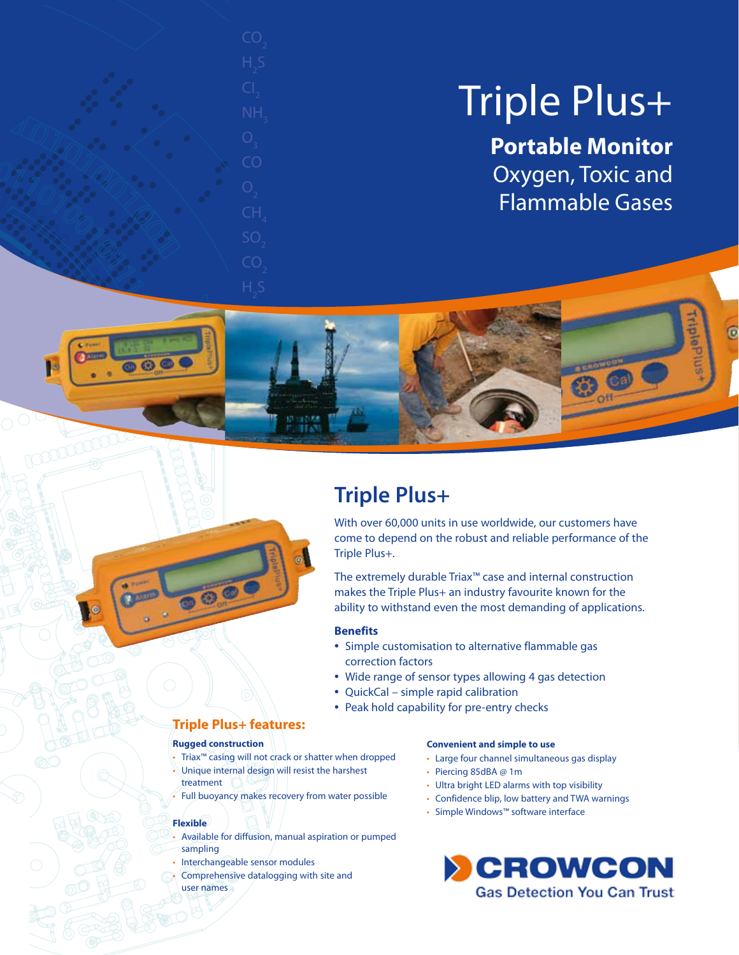# Triple Plus+

**Portable Monitor** Oxygen, Toxic and Flammable Gases

**Liple** 

# **Triple Plus+**

With over 60,000 units in use worldwide, our customers have come to depend on the robust and reliable performance of the Triple Plus+.

The extremely durable Triax™ case and internal construction makes the Triple Plus+ an industry favourite known for the ability to withstand even the most demanding of applications.

#### **Benefits**

- Simple customisation to alternative flammable gas correction factors
- Wide range of sensor types allowing 4 gas detection
- QuickCal simple rapid calibration
- Peak hold capability for pre-entry checks

### **Triple Plus+ features:**

#### **Rugged construction**

- Triax™ casing will not crack or shatter when dropped
- Unique internal design will resist the harshest treatment
- Full buoyancy makes recovery from water possible

#### **Flexible**

pour les

- Available for diffusion, manual aspiration or pumped sampling
- Interchangeable sensor modules
- Comprehensive datalogging with site and user names

#### **Convenient and simple to use**

- Large four channel simultaneous gas display
- Piercing 85dBA @ 1m
- Ultra bright LED alarms with top visibility
- Confidence blip, low battery and TWA warnings
- Simple Windows™ software interface